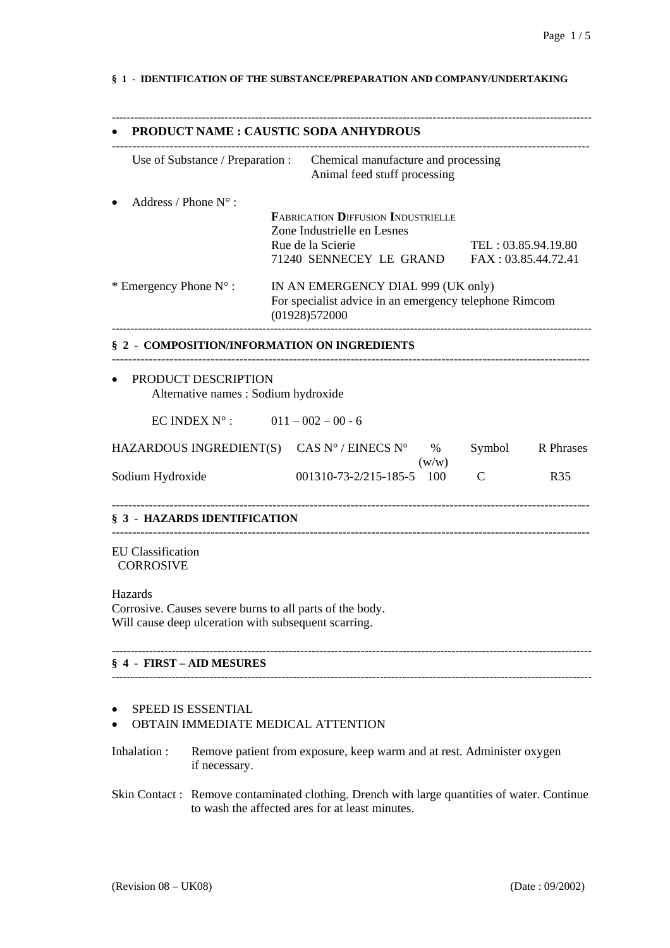# **§ 1 - IDENTIFICATION OF THE SUBSTANCE/PREPARATION AND COMPANY/UNDERTAKING**

|                                              | <b>PRODUCT NAME : CAUSTIC SODA ANHYDROUS</b>                                                                                                   |                                                                         |                                                                          |  |       | ---------------------------- |                     |
|----------------------------------------------|------------------------------------------------------------------------------------------------------------------------------------------------|-------------------------------------------------------------------------|--------------------------------------------------------------------------|--|-------|------------------------------|---------------------|
|                                              | Use of Substance / Preparation : Chemical manufacture and processing                                                                           |                                                                         | Animal feed stuff processing                                             |  |       |                              |                     |
| Address / Phone $N^{\circ}$ :                |                                                                                                                                                |                                                                         |                                                                          |  |       |                              |                     |
|                                              |                                                                                                                                                |                                                                         | <b>FABRICATION DIFFUSION INDUSTRIELLE</b><br>Zone Industrielle en Lesnes |  |       |                              |                     |
|                                              |                                                                                                                                                |                                                                         | Rue de la Scierie                                                        |  |       |                              | TEL: 03.85.94.19.80 |
|                                              |                                                                                                                                                |                                                                         | 71240 SENNECEY LE GRAND                                                  |  |       |                              | FAX: 03.85.44.72.41 |
| * Emergency Phone $N^{\circ}$ :              |                                                                                                                                                |                                                                         | IN AN EMERGENCY DIAL 999 (UK only)                                       |  |       |                              |                     |
|                                              |                                                                                                                                                | For specialist advice in an emergency telephone Rimcom<br>(01928)572000 |                                                                          |  |       |                              |                     |
|                                              | § 2 - COMPOSITION/INFORMATION ON INGREDIENTS                                                                                                   |                                                                         |                                                                          |  |       |                              |                     |
|                                              | PRODUCT DESCRIPTION<br>Alternative names : Sodium hydroxide                                                                                    |                                                                         |                                                                          |  |       |                              |                     |
|                                              | EC INDEX $N^{\circ}$ : $011 - 002 - 00 - 6$                                                                                                    |                                                                         |                                                                          |  |       |                              |                     |
|                                              | HAZARDOUS INGREDIENT(S) CAS $N^{\circ}$ / EINECS $N^{\circ}$ %                                                                                 |                                                                         |                                                                          |  | (w/w) | Symbol                       | R Phrases           |
| Sodium Hydroxide                             |                                                                                                                                                |                                                                         | 001310-73-2/215-185-5 100                                                |  |       | $\mathcal{C}$                | <b>R35</b>          |
|                                              | § 3 - HAZARDS IDENTIFICATION                                                                                                                   |                                                                         |                                                                          |  |       |                              |                     |
| <b>EU</b> Classification<br><b>CORROSIVE</b> |                                                                                                                                                |                                                                         |                                                                          |  |       |                              |                     |
| Hazards                                      | Corrosive. Causes severe burns to all parts of the body.<br>Will cause deep ulceration with subsequent scarring.                               |                                                                         |                                                                          |  |       |                              |                     |
|                                              | $§$ 4 - FIRST – AID MESURES                                                                                                                    |                                                                         |                                                                          |  |       |                              |                     |
|                                              |                                                                                                                                                |                                                                         |                                                                          |  |       |                              |                     |
|                                              | SPEED IS ESSENTIAL<br>OBTAIN IMMEDIATE MEDICAL ATTENTION                                                                                       |                                                                         |                                                                          |  |       |                              |                     |
| Inhalation:                                  | Remove patient from exposure, keep warm and at rest. Administer oxygen<br>if necessary.                                                        |                                                                         |                                                                          |  |       |                              |                     |
|                                              | Skin Contact: Remove contaminated clothing. Drench with large quantities of water. Continue<br>to wash the affected ares for at least minutes. |                                                                         |                                                                          |  |       |                              |                     |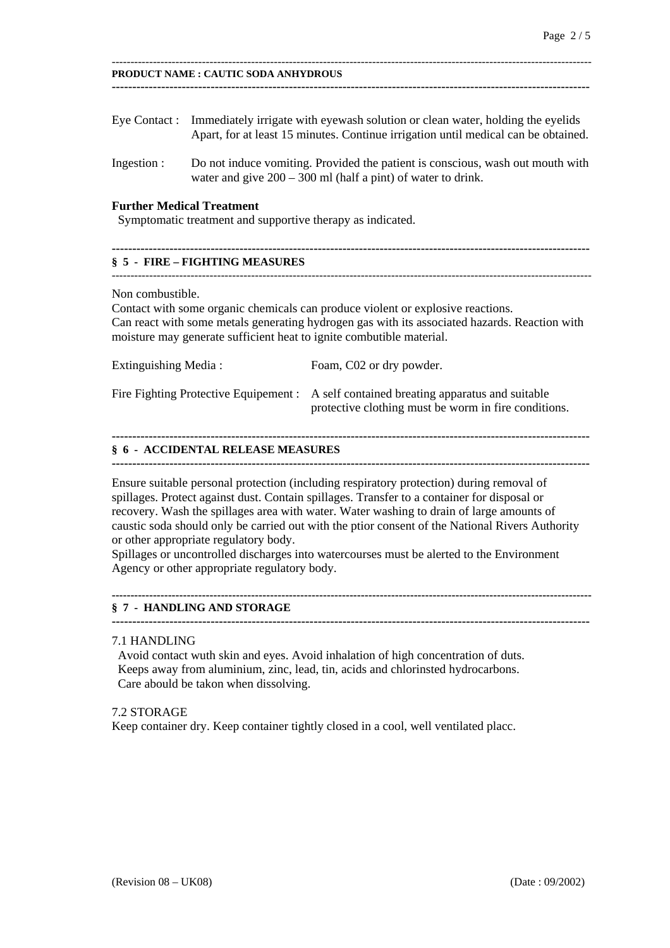------------------------------------------------------------------------------------------------------------------------------- **PRODUCT NAME : CAUTIC SODA ANHYDROUS**

Eye Contact : Immediately irrigate with eyewash solution or clean water, holding the eyelids Apart, for at least 15 minutes. Continue irrigation until medical can be obtained.

**--------------------------------------------------------------------------------------------------------------------**

Ingestion : Do not induce vomiting. Provided the patient is conscious, wash out mouth with water and give  $200 - 300$  ml (half a pint) of water to drink.

# **Further Medical Treatment**

Symptomatic treatment and supportive therapy as indicated.

| § 5 - FIRE – FIGHTING MEASURES |  |  |
|--------------------------------|--|--|
|                                |  |  |

# Non combustible.

Contact with some organic chemicals can produce violent or explosive reactions. Can react with some metals generating hydrogen gas with its associated hazards. Reaction with moisture may generate sufficient heat to ignite combutible material.

| Extinguishing Media: | Foam, C <sub>02</sub> or dry powder.                                                                                                           |
|----------------------|------------------------------------------------------------------------------------------------------------------------------------------------|
|                      | Fire Fighting Protective Equipement : A self contained breating apparatus and suitable<br>protective clothing must be worm in fire conditions. |

# **§ 6 - ACCIDENTAL RELEASE MEASURES**

**--------------------------------------------------------------------------------------------------------------------**

**--------------------------------------------------------------------------------------------------------------------**

Ensure suitable personal protection (including respiratory protection) during removal of spillages. Protect against dust. Contain spillages. Transfer to a container for disposal or recovery. Wash the spillages area with water. Water washing to drain of large amounts of caustic soda should only be carried out with the ptior consent of the National Rivers Authority or other appropriate regulatory body.

**--------------------------------------------------------------------------------------------------------------------**

Spillages or uncontrolled discharges into watercourses must be alerted to the Environment Agency or other appropriate regulatory body.

# **------------------------------------------------------------------------------------------------------------------------------- § 7 - HANDLING AND STORAGE**

7.1 HANDLING

 Avoid contact wuth skin and eyes. Avoid inhalation of high concentration of duts. Keeps away from aluminium, zinc, lead, tin, acids and chlorinsted hydrocarbons. Care abould be takon when dissolving.

# 7.2 STORAGE

Keep container dry. Keep container tightly closed in a cool, well ventilated placc.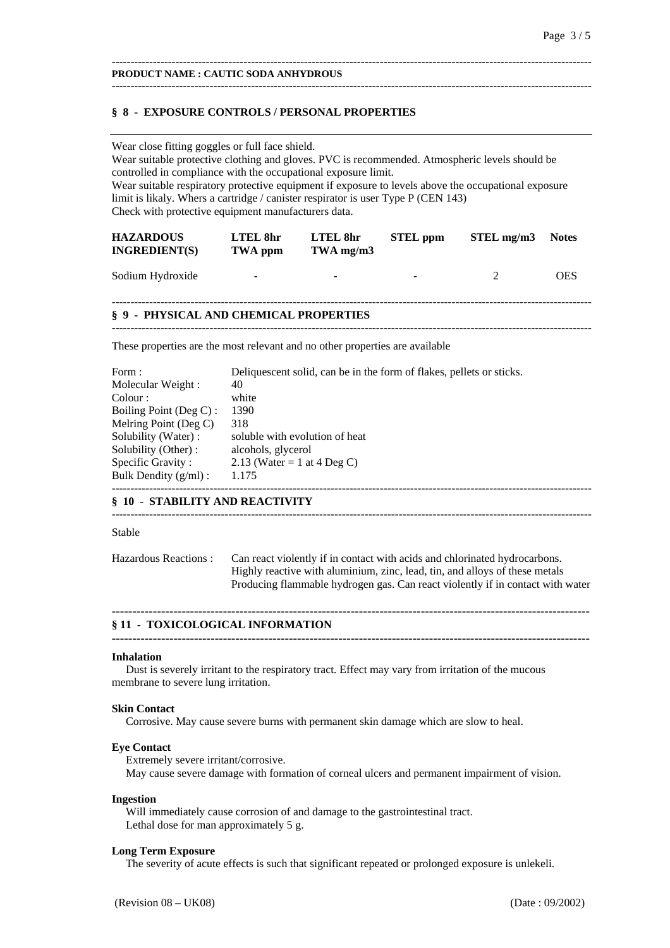#### ------------------------------------------------------------------------------------------------------------------------------- **PRODUCT NAME : CAUTIC SODA ANHYDROUS**

#### -------------------------------------------------------------------------------------------------------------------------------

# **§ 8 - EXPOSURE CONTROLS / PERSONAL PROPERTIES**

| Wear close fitting goggles or full face shield.<br>Wear suitable protective clothing and gloves. PVC is recommended. Atmospheric levels should be<br>controlled in compliance with the occupational exposure limit.<br>Wear suitable respiratory protective equipment if exposure to levels above the occupational exposure<br>limit is likaly. Whers a cartridge / canister respirator is user Type P (CEN 143)<br>Check with protective equipment manufacturers data. |                             |                                                                      |          |                 |              |
|-------------------------------------------------------------------------------------------------------------------------------------------------------------------------------------------------------------------------------------------------------------------------------------------------------------------------------------------------------------------------------------------------------------------------------------------------------------------------|-----------------------------|----------------------------------------------------------------------|----------|-----------------|--------------|
| <b>HAZARDOUS</b><br>INGREDIENT(S)                                                                                                                                                                                                                                                                                                                                                                                                                                       | LTEL 8hr<br>TWA ppm         | <b>LTEL 8hr</b><br>TWA mg/m3                                         | STEL ppm | $STEL$ mg/m $3$ | <b>Notes</b> |
| Sodium Hydroxide                                                                                                                                                                                                                                                                                                                                                                                                                                                        |                             |                                                                      |          | $\mathfrak{D}$  | <b>OES</b>   |
| § 9 - PHYSICAL AND CHEMICAL PROPERTIES                                                                                                                                                                                                                                                                                                                                                                                                                                  |                             |                                                                      |          |                 |              |
| These properties are the most relevant and no other properties are available                                                                                                                                                                                                                                                                                                                                                                                            |                             |                                                                      |          |                 |              |
| Form :                                                                                                                                                                                                                                                                                                                                                                                                                                                                  |                             | Deliquescent solid, can be in the form of flakes, pellets or sticks. |          |                 |              |
| Molecular Weight:                                                                                                                                                                                                                                                                                                                                                                                                                                                       | 40                          |                                                                      |          |                 |              |
| Colour:                                                                                                                                                                                                                                                                                                                                                                                                                                                                 | white                       |                                                                      |          |                 |              |
| Boiling Point (Deg C):                                                                                                                                                                                                                                                                                                                                                                                                                                                  | 1390                        |                                                                      |          |                 |              |
| Melring Point (Deg C)                                                                                                                                                                                                                                                                                                                                                                                                                                                   | 318                         |                                                                      |          |                 |              |
| Solubility (Water):                                                                                                                                                                                                                                                                                                                                                                                                                                                     |                             | soluble with evolution of heat                                       |          |                 |              |
| Solubility (Other):                                                                                                                                                                                                                                                                                                                                                                                                                                                     | alcohols, glycerol          |                                                                      |          |                 |              |
| Specific Gravity :                                                                                                                                                                                                                                                                                                                                                                                                                                                      | 2.13 (Water = 1 at 4 Deg C) |                                                                      |          |                 |              |
| Bulk Dendity $(g/ml):$ 1.175                                                                                                                                                                                                                                                                                                                                                                                                                                            |                             |                                                                      |          |                 |              |
| § 10 - STABILITY AND REACTIVITY                                                                                                                                                                                                                                                                                                                                                                                                                                         |                             |                                                                      |          |                 |              |

Stable

Hazardous Reactions : Can react violently if in contact with acids and chlorinated hydrocarbons. Highly reactive with aluminium, zinc, lead, tin, and alloys of these metals Producing flammable hydrogen gas. Can react violently if in contact with water

**--------------------------------------------------------------------------------------------------------------------**

**--------------------------------------------------------------------------------------------------------------------**

-------------------------------------------------------------------------------------------------------------------------------

# **§ 11 - TOXICOLOGICAL INFORMATION**

#### **Inhalation**

 Dust is severely irritant to the respiratory tract. Effect may vary from irritation of the mucous membrane to severe lung irritation.

### **Skin Contact**

Corrosive. May cause severe burns with permanent skin damage which are slow to heal.

# **Eye Contact**

 Extremely severe irritant/corrosive. May cause severe damage with formation of corneal ulcers and permanent impairment of vision.

### **Ingestion**

 Will immediately cause corrosion of and damage to the gastrointestinal tract. Lethal dose for man approximately 5 g.

#### **Long Term Exposure**

The severity of acute effects is such that significant repeated or prolonged exposure is unlekeli.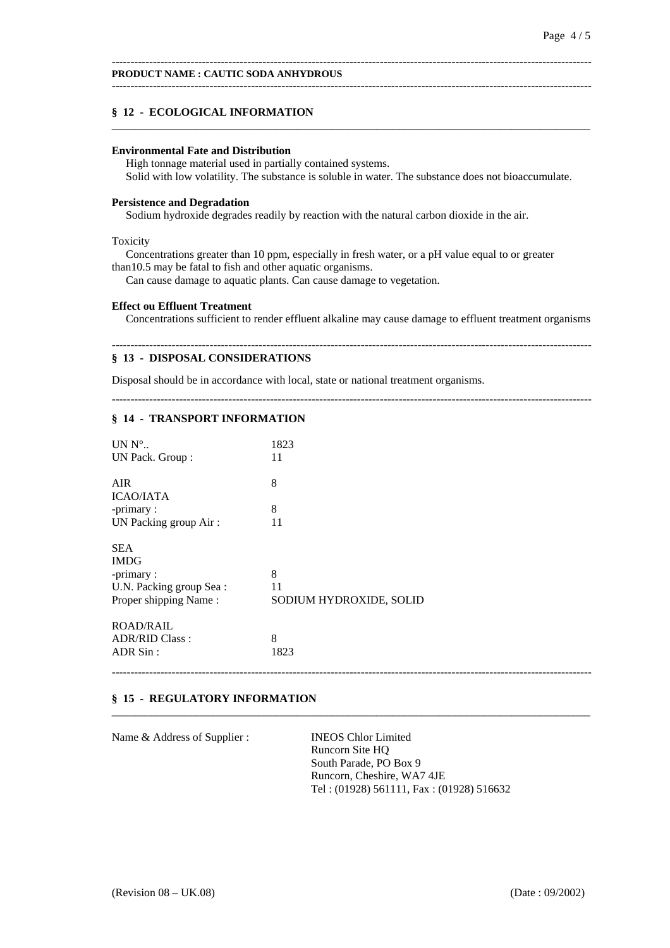#### ------------------------------------------------------------------------------------------------------------------------------- **PRODUCT NAME : CAUTIC SODA ANHYDROUS**

#### -------------------------------------------------------------------------------------------------------------------------------

# **§ 12 - ECOLOGICAL INFORMATION**

#### **Environmental Fate and Distribution**

 High tonnage material used in partially contained systems. Solid with low volatility. The substance is soluble in water. The substance does not bioaccumulate.

\_\_\_\_\_\_\_\_\_\_\_\_\_\_\_\_\_\_\_\_\_\_\_\_\_\_\_\_\_\_\_\_\_\_\_\_\_\_\_\_\_\_\_\_\_\_\_\_\_\_\_\_\_\_\_\_\_\_\_\_\_\_\_\_\_\_\_\_\_\_\_\_\_\_\_\_\_\_\_\_\_\_\_\_\_

# **Persistence and Degradation**

Sodium hydroxide degrades readily by reaction with the natural carbon dioxide in the air.

# Toxicity

 Concentrations greater than 10 ppm, especially in fresh water, or a pH value equal to or greater than10.5 may be fatal to fish and other aquatic organisms.

Can cause damage to aquatic plants. Can cause damage to vegetation.

# **Effect ou Effluent Treatment**

Concentrations sufficient to render effluent alkaline may cause damage to effluent treatment organisms

-------------------------------------------------------------------------------------------------------------------------------

#### **§ 13 - DISPOSAL CONSIDERATIONS**

Disposal should be in accordance with local, state or national treatment organisms.

-------------------------------------------------------------------------------------------------------------------------------

-------------------------------------------------------------------------------------------------------------------------------

 $\_$  , and the set of the set of the set of the set of the set of the set of the set of the set of the set of the set of the set of the set of the set of the set of the set of the set of the set of the set of the set of th

# **§ 14 - TRANSPORT INFORMATION**

| $UNNo$ .<br>UN Pack. Group:    | 1823<br>11              |
|--------------------------------|-------------------------|
| <b>AIR</b><br><b>ICAO/JATA</b> | 8                       |
| -primary :                     | 8                       |
| UN Packing group Air:          | 11                      |
| <b>SEA</b><br><b>IMDG</b>      |                         |
| -primary :                     | 8                       |
| U.N. Packing group Sea:        | 11                      |
| Proper shipping Name:          | SODIUM HYDROXIDE, SOLID |
| ROAD/RAIL                      |                         |
| <b>ADR/RID Class:</b>          | 8                       |
| ADR Sin:                       | 1823                    |

# **§ 15 - REGULATORY INFORMATION**

Name & Address of Supplier : **INEOS Chlor Limited** 

Runcorn Site HQ South Parade, PO Box 9 Runcorn, Cheshire, WA7 4JE Tel : (01928) 561111, Fax : (01928) 516632